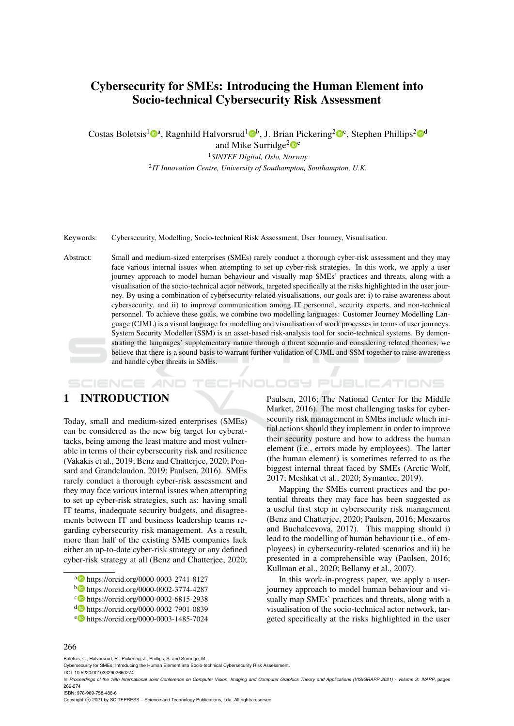# Cybersecurity for SMEs: Introducing the Human Element into Socio-technical Cybersecurity Risk Assessment

Costas Boletsis<sup>1</sup><sup>®</sup>, Ragnhild Halvorsrud<sup>1</sup><sup>®</sup>, J. Brian Pickering<sup>2</sup><sup>®</sup>, Stephen Phillips<sup>2</sup><sup>®</sup>

and Mike Surridge<sup>2</sup>

<sup>1</sup>*SINTEF Digital, Oslo, Norway*

2 *IT Innovation Centre, University of Southampton, Southampton, U.K.*

Keywords: Cybersecurity, Modelling, Socio-technical Risk Assessment, User Journey, Visualisation.

Abstract: Small and medium-sized enterprises (SMEs) rarely conduct a thorough cyber-risk assessment and they may face various internal issues when attempting to set up cyber-risk strategies. In this work, we apply a user journey approach to model human behaviour and visually map SMEs' practices and threats, along with a visualisation of the socio-technical actor network, targeted specifically at the risks highlighted in the user journey. By using a combination of cybersecurity-related visualisations, our goals are: i) to raise awareness about cybersecurity, and ii) to improve communication among IT personnel, security experts, and non-technical personnel. To achieve these goals, we combine two modelling languages: Customer Journey Modelling Language (CJML) is a visual language for modelling and visualisation of work processes in terms of user journeys. System Security Modeller (SSM) is an asset-based risk-analysis tool for socio-technical systems. By demonstrating the languages' supplementary nature through a threat scenario and considering related theories, we believe that there is a sound basis to warrant further validation of CJML and SSM together to raise awareness and handle cyber threats in SMEs.

HNOLOGY PUBLICATIONS SCIENCE *A*ND

# 1 INTRODUCTION

Today, small and medium-sized enterprises (SMEs) can be considered as the new big target for cyberattacks, being among the least mature and most vulnerable in terms of their cybersecurity risk and resilience (Vakakis et al., 2019; Benz and Chatterjee, 2020; Ponsard and Grandclaudon, 2019; Paulsen, 2016). SMEs rarely conduct a thorough cyber-risk assessment and they may face various internal issues when attempting to set up cyber-risk strategies, such as: having small IT teams, inadequate security budgets, and disagreements between IT and business leadership teams regarding cybersecurity risk management. As a result, more than half of the existing SME companies lack either an up-to-date cyber-risk strategy or any defined cyber-risk strategy at all (Benz and Chatterjee, 2020;

<sup>e</sup> https://orcid.org/0000-0003-1485-7024

Paulsen, 2016; The National Center for the Middle Market, 2016). The most challenging tasks for cybersecurity risk management in SMEs include which initial actions should they implement in order to improve their security posture and how to address the human element (i.e., errors made by employees). The latter (the human element) is sometimes referred to as the biggest internal threat faced by SMEs (Arctic Wolf, 2017; Meshkat et al., 2020; Symantec, 2019).

Mapping the SMEs current practices and the potential threats they may face has been suggested as a useful first step in cybersecurity risk management (Benz and Chatterjee, 2020; Paulsen, 2016; Meszaros and Buchalcevova, 2017). This mapping should i) lead to the modelling of human behaviour (i.e., of employees) in cybersecurity-related scenarios and ii) be presented in a comprehensible way (Paulsen, 2016; Kullman et al., 2020; Bellamy et al., 2007).

In this work-in-progress paper, we apply a userjourney approach to model human behaviour and visually map SMEs' practices and threats, along with a visualisation of the socio-technical actor network, targeted specifically at the risks highlighted in the user

#### 266

Boletsis, C., Halvorsrud, R., Pickering, J., Phillips, S. and Surridge, M.

Cybersecurity for SMEs: Introducing the Human Element into Socio-technical Cybersecurity Risk Assessment. DOI: 10.5220/0010332902660274

ISBN: 978-989-758-488-6

Copyright (C) 2021 by SCITEPRESS - Science and Technology Publications, Lda. All rights reserved

a **b** https://orcid.org/0000-0003-2741-8127

<sup>b</sup> https://orcid.org/0000-0002-3774-4287

<sup>c</sup> https://orcid.org/0000-0002-6815-2938

<sup>d</sup> https://orcid.org/0000-0002-7901-0839

In *Proceedings of the 16th International Joint Conference on Computer Vision, Imaging and Computer Graphics Theory and Applications (VISIGRAPP 2021) - Volume 3: IVAPP*, pages 266-274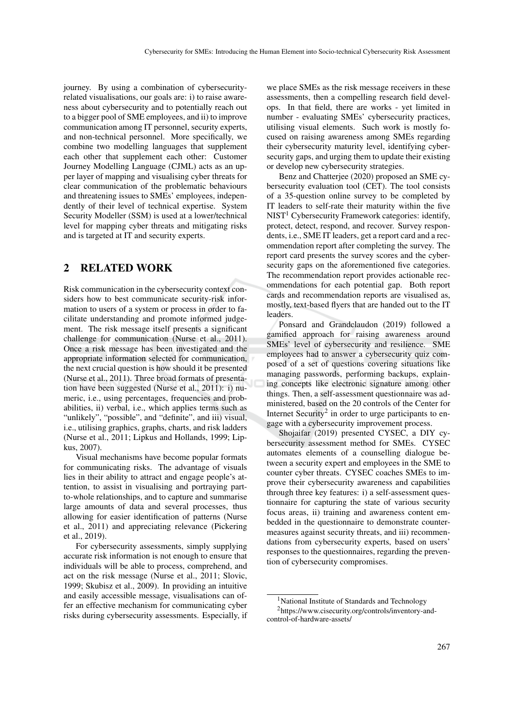journey. By using a combination of cybersecurityrelated visualisations, our goals are: i) to raise awareness about cybersecurity and to potentially reach out to a bigger pool of SME employees, and ii) to improve communication among IT personnel, security experts, and non-technical personnel. More specifically, we combine two modelling languages that supplement each other that supplement each other: Customer Journey Modelling Language (CJML) acts as an upper layer of mapping and visualising cyber threats for clear communication of the problematic behaviours and threatening issues to SMEs' employees, independently of their level of technical expertise. System Security Modeller (SSM) is used at a lower/technical level for mapping cyber threats and mitigating risks and is targeted at IT and security experts.

### 2 RELATED WORK

Risk communication in the cybersecurity context considers how to best communicate security-risk information to users of a system or process in order to facilitate understanding and promote informed judgement. The risk message itself presents a significant challenge for communication (Nurse et al., 2011). Once a risk message has been investigated and the appropriate information selected for communication, the next crucial question is how should it be presented (Nurse et al., 2011). Three broad formats of presentation have been suggested (Nurse et al., 2011): i) numeric, i.e., using percentages, frequencies and probabilities, ii) verbal, i.e., which applies terms such as "unlikely", "possible", and "definite", and iii) visual, i.e., utilising graphics, graphs, charts, and risk ladders (Nurse et al., 2011; Lipkus and Hollands, 1999; Lipkus, 2007).

Visual mechanisms have become popular formats for communicating risks. The advantage of visuals lies in their ability to attract and engage people's attention, to assist in visualising and portraying partto-whole relationships, and to capture and summarise large amounts of data and several processes, thus allowing for easier identification of patterns (Nurse et al., 2011) and appreciating relevance (Pickering et al., 2019).

For cybersecurity assessments, simply supplying accurate risk information is not enough to ensure that individuals will be able to process, comprehend, and act on the risk message (Nurse et al., 2011; Slovic, 1999; Skubisz et al., 2009). In providing an intuitive and easily accessible message, visualisations can offer an effective mechanism for communicating cyber risks during cybersecurity assessments. Especially, if

we place SMEs as the risk message receivers in these assessments, then a compelling research field develops. In that field, there are works - yet limited in number - evaluating SMEs' cybersecurity practices, utilising visual elements. Such work is mostly focused on raising awareness among SMEs regarding their cybersecurity maturity level, identifying cybersecurity gaps, and urging them to update their existing or develop new cybersecurity strategies.

Benz and Chatterjee (2020) proposed an SME cybersecurity evaluation tool (CET). The tool consists of a 35-question online survey to be completed by IT leaders to self-rate their maturity within the five  $NIST<sup>1</sup> Cybersecurity Framework categories: identity,$ protect, detect, respond, and recover. Survey respondents, i.e., SME IT leaders, get a report card and a recommendation report after completing the survey. The report card presents the survey scores and the cybersecurity gaps on the aforementioned five categories. The recommendation report provides actionable recommendations for each potential gap. Both report cards and recommendation reports are visualised as, mostly, text-based flyers that are handed out to the IT leaders.

Ponsard and Grandclaudon (2019) followed a gamified approach for raising awareness around SMEs' level of cybersecurity and resilience. SME employees had to answer a cybersecurity quiz composed of a set of questions covering situations like managing passwords, performing backups, explaining concepts like electronic signature among other things. Then, a self-assessment questionnaire was administered, based on the 20 controls of the Center for Internet Security<sup>2</sup> in order to urge participants to engage with a cybersecurity improvement process.

Shojaifar (2019) presented CYSEC, a DIY cybersecurity assessment method for SMEs. CYSEC automates elements of a counselling dialogue between a security expert and employees in the SME to counter cyber threats. CYSEC coaches SMEs to improve their cybersecurity awareness and capabilities through three key features: i) a self-assessment questionnaire for capturing the state of various security focus areas, ii) training and awareness content embedded in the questionnaire to demonstrate countermeasures against security threats, and iii) recommendations from cybersecurity experts, based on users' responses to the questionnaires, regarding the prevention of cybersecurity compromises.

<sup>&</sup>lt;sup>1</sup>National Institute of Standards and Technology <sup>2</sup>https://www.cisecurity.org/controls/inventory-andcontrol-of-hardware-assets/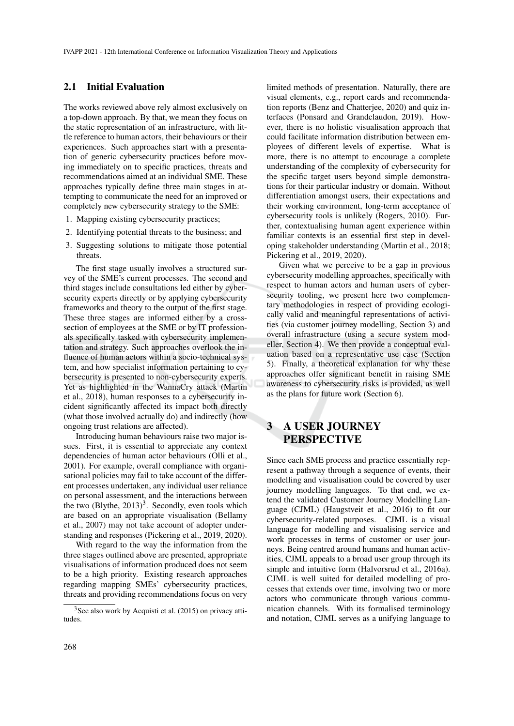#### 2.1 Initial Evaluation

The works reviewed above rely almost exclusively on a top-down approach. By that, we mean they focus on the static representation of an infrastructure, with little reference to human actors, their behaviours or their experiences. Such approaches start with a presentation of generic cybersecurity practices before moving immediately on to specific practices, threats and recommendations aimed at an individual SME. These approaches typically define three main stages in attempting to communicate the need for an improved or completely new cybersecurity strategy to the SME:

- 1. Mapping existing cybersecurity practices;
- 2. Identifying potential threats to the business; and
- 3. Suggesting solutions to mitigate those potential threats.

The first stage usually involves a structured survey of the SME's current processes. The second and third stages include consultations led either by cybersecurity experts directly or by applying cybersecurity frameworks and theory to the output of the first stage. These three stages are informed either by a crosssection of employees at the SME or by IT professionals specifically tasked with cybersecurity implementation and strategy. Such approaches overlook the influence of human actors within a socio-technical system, and how specialist information pertaining to cybersecurity is presented to non-cybersecurity experts. Yet as highlighted in the WannaCry attack (Martin et al., 2018), human responses to a cybersecurity incident significantly affected its impact both directly (what those involved actually do) and indirectly (how ongoing trust relations are affected).

Introducing human behaviours raise two major issues. First, it is essential to appreciate any context dependencies of human actor behaviours (Olli et al., 2001). For example, overall compliance with organisational policies may fail to take account of the different processes undertaken, any individual user reliance on personal assessment, and the interactions between the two  $(Bly$ the,  $2013)^3$ . Secondly, even tools which are based on an appropriate visualisation (Bellamy et al., 2007) may not take account of adopter understanding and responses (Pickering et al., 2019, 2020).

With regard to the way the information from the three stages outlined above are presented, appropriate visualisations of information produced does not seem to be a high priority. Existing research approaches regarding mapping SMEs' cybersecurity practices, threats and providing recommendations focus on very

limited methods of presentation. Naturally, there are visual elements, e.g., report cards and recommendation reports (Benz and Chatterjee, 2020) and quiz interfaces (Ponsard and Grandclaudon, 2019). However, there is no holistic visualisation approach that could facilitate information distribution between employees of different levels of expertise. What is more, there is no attempt to encourage a complete understanding of the complexity of cybersecurity for the specific target users beyond simple demonstrations for their particular industry or domain. Without differentiation amongst users, their expectations and their working environment, long-term acceptance of cybersecurity tools is unlikely (Rogers, 2010). Further, contextualising human agent experience within familiar contexts is an essential first step in developing stakeholder understanding (Martin et al., 2018; Pickering et al., 2019, 2020).

Given what we perceive to be a gap in previous cybersecurity modelling approaches, specifically with respect to human actors and human users of cybersecurity tooling, we present here two complementary methodologies in respect of providing ecologically valid and meaningful representations of activities (via customer journey modelling, Section 3) and overall infrastructure (using a secure system modeller, Section 4). We then provide a conceptual evaluation based on a representative use case (Section 5). Finally, a theoretical explanation for why these approaches offer significant benefit in raising SME awareness to cybersecurity risks is provided, as well as the plans for future work (Section 6).

## A USER JOURNEY **PERSPECTIVE**

Since each SME process and practice essentially represent a pathway through a sequence of events, their modelling and visualisation could be covered by user journey modelling languages. To that end, we extend the validated Customer Journey Modelling Language (CJML) (Haugstveit et al., 2016) to fit our cybersecurity-related purposes. CJML is a visual language for modelling and visualising service and work processes in terms of customer or user journeys. Being centred around humans and human activities, CJML appeals to a broad user group through its simple and intuitive form (Halvorsrud et al., 2016a). CJML is well suited for detailed modelling of processes that extends over time, involving two or more actors who communicate through various communication channels. With its formalised terminology and notation, CJML serves as a unifying language to

<sup>3</sup>See also work by Acquisti et al. (2015) on privacy attitudes.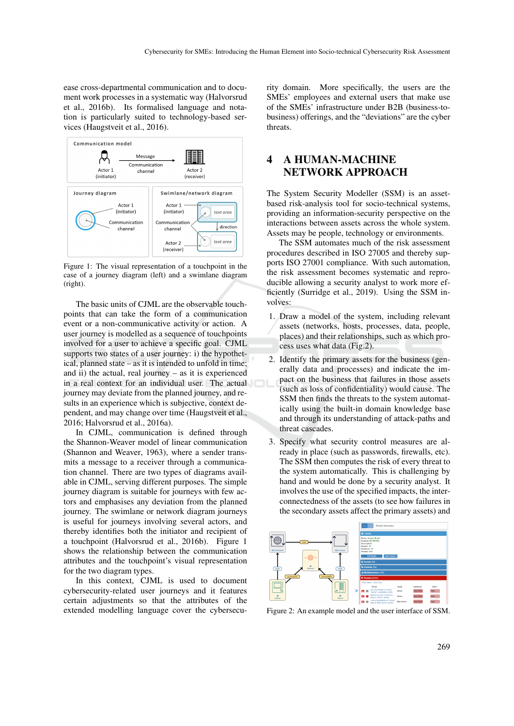ease cross-departmental communication and to document work processes in a systematic way (Halvorsrud et al., 2016b). Its formalised language and notation is particularly suited to technology-based services (Haugstveit et al., 2016).



Figure 1: The visual representation of a touchpoint in the case of a journey diagram (left) and a swimlane diagram (right).

The basic units of CJML are the observable touchpoints that can take the form of a communication event or a non-communicative activity or action. A user journey is modelled as a sequence of touchpoints involved for a user to achieve a specific goal. CJML supports two states of a user journey: i) the hypothetical, planned state – as it is intended to unfold in time; and ii) the actual, real journey – as it is experienced in a real context for an individual user. The actual journey may deviate from the planned journey, and results in an experience which is subjective, context dependent, and may change over time (Haugstveit et al., 2016; Halvorsrud et al., 2016a).

In CJML, communication is defined through the Shannon-Weaver model of linear communication (Shannon and Weaver, 1963), where a sender transmits a message to a receiver through a communication channel. There are two types of diagrams available in CJML, serving different purposes. The simple journey diagram is suitable for journeys with few actors and emphasises any deviation from the planned journey. The swimlane or network diagram journeys is useful for journeys involving several actors, and thereby identifies both the initiator and recipient of a touchpoint (Halvorsrud et al., 2016b). Figure 1 shows the relationship between the communication attributes and the touchpoint's visual representation for the two diagram types.

In this context, CJML is used to document cybersecurity-related user journeys and it features certain adjustments so that the attributes of the extended modelling language cover the cybersecurity domain. More specifically, the users are the SMEs' employees and external users that make use of the SMEs' infrastructure under B2B (business-tobusiness) offerings, and the "deviations" are the cyber threats.

## 4 A HUMAN-MACHINE NETWORK APPROACH

The System Security Modeller (SSM) is an assetbased risk-analysis tool for socio-technical systems, providing an information-security perspective on the interactions between assets across the whole system. Assets may be people, technology or environments.

The SSM automates much of the risk assessment procedures described in ISO 27005 and thereby supports ISO 27001 compliance. With such automation, the risk assessment becomes systematic and reproducible allowing a security analyst to work more efficiently (Surridge et al., 2019). Using the SSM involves:

- 1. Draw a model of the system, including relevant assets (networks, hosts, processes, data, people, places) and their relationships, such as which process uses what data (Fig.2).
- 2. Identify the primary assets for the business (generally data and processes) and indicate the impact on the business that failures in those assets (such as loss of confidentiality) would cause. The SSM then finds the threats to the system automatically using the built-in domain knowledge base and through its understanding of attack-paths and threat cascades.
- 3. Specify what security control measures are already in place (such as passwords, firewalls, etc). The SSM then computes the risk of every threat to the system automatically. This is challenging by hand and would be done by a security analyst. It involves the use of the specified impacts, the interconnectedness of the assets (to see how failures in the secondary assets affect the primary assets) and



Figure 2: An example model and the user interface of SSM.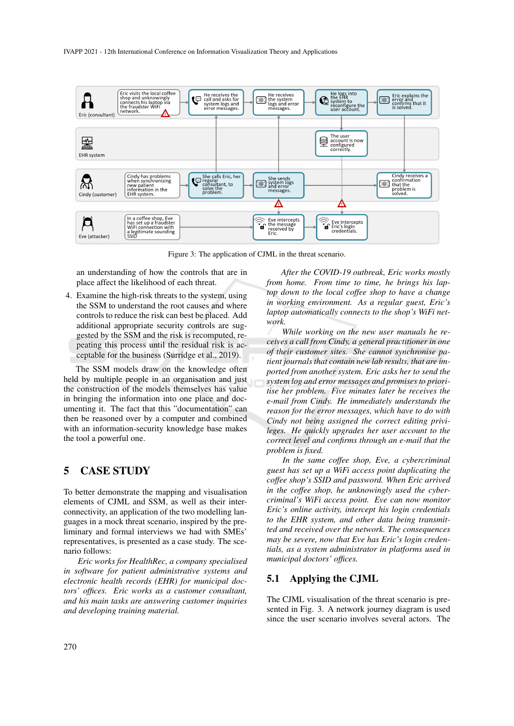

Figure 3: The application of CJML in the threat scenario.

an understanding of how the controls that are in place affect the likelihood of each threat.

4. Examine the high-risk threats to the system, using the SSM to understand the root causes and where controls to reduce the risk can best be placed. Add additional appropriate security controls are suggested by the SSM and the risk is recomputed, repeating this process until the residual risk is acceptable for the business (Surridge et al., 2019).

The SSM models draw on the knowledge often held by multiple people in an organisation and just the construction of the models themselves has value in bringing the information into one place and documenting it. The fact that this "documentation" can then be reasoned over by a computer and combined with an information-security knowledge base makes the tool a powerful one.

### 5 CASE STUDY

To better demonstrate the mapping and visualisation elements of CJML and SSM, as well as their interconnectivity, an application of the two modelling languages in a mock threat scenario, inspired by the preliminary and formal interviews we had with SMEs' representatives, is presented as a case study. The scenario follows:

*Eric works for HealthRec, a company specialised in software for patient administrative systems and electronic health records (EHR) for municipal doctors' offices. Eric works as a customer consultant, and his main tasks are answering customer inquiries and developing training material.*

*After the COVID-19 outbreak, Eric works mostly from home. From time to time, he brings his laptop down to the local coffee shop to have a change in working environment. As a regular guest, Eric's laptop automatically connects to the shop's WiFi network.*

*While working on the new user manuals he receives a call from Cindy, a general practitioner in one of their customer sites. She cannot synchronise patient journals that contain new lab results, that are imported from another system. Eric asks her to send the system log and error messages and promises to prioritise her problem. Five minutes later he receives the e-mail from Cindy. He immediately understands the reason for the error messages, which have to do with Cindy not being assigned the correct editing privileges. He quickly upgrades her user account to the correct level and confirms through an e-mail that the problem is fixed.*

*In the same coffee shop, Eve, a cybercriminal guest has set up a WiFi access point duplicating the coffee shop's SSID and password. When Eric arrived in the coffee shop, he unknowingly used the cybercriminal's WiFi access point. Eve can now monitor Eric's online activity, intercept his login credentials to the EHR system, and other data being transmitted and received over the network. The consequences may be severe, now that Eve has Eric's login credentials, as a system administrator in platforms used in municipal doctors' offices.*

### 5.1 Applying the CJML

The CJML visualisation of the threat scenario is presented in Fig. 3. A network journey diagram is used since the user scenario involves several actors. The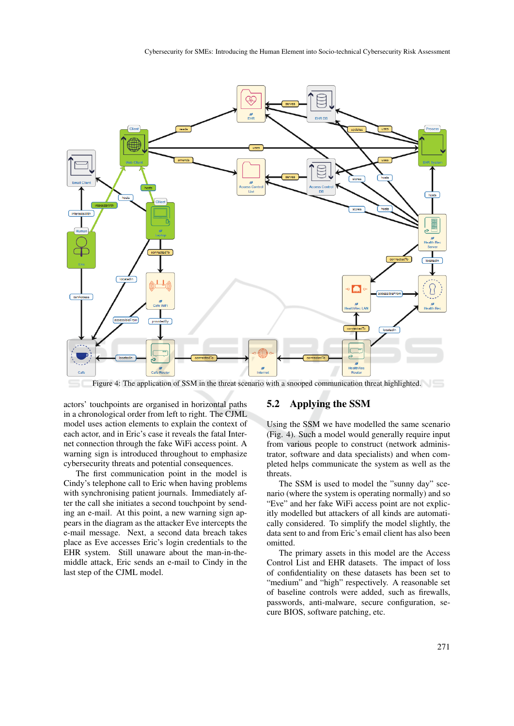

Figure 4: The application of SSM in the threat scenario with a snooped communication threat highlighted.

actors' touchpoints are organised in horizontal paths in a chronological order from left to right. The CJML model uses action elements to explain the context of each actor, and in Eric's case it reveals the fatal Internet connection through the fake WiFi access point. A warning sign is introduced throughout to emphasize cybersecurity threats and potential consequences.

The first communication point in the model is Cindy's telephone call to Eric when having problems with synchronising patient journals. Immediately after the call she initiates a second touchpoint by sending an e-mail. At this point, a new warning sign appears in the diagram as the attacker Eve intercepts the e-mail message. Next, a second data breach takes place as Eve accesses Eric's login credentials to the EHR system. Still unaware about the man-in-themiddle attack, Eric sends an e-mail to Cindy in the last step of the CJML model.

### 5.2 Applying the SSM

Using the SSM we have modelled the same scenario (Fig. 4). Such a model would generally require input from various people to construct (network administrator, software and data specialists) and when completed helps communicate the system as well as the threats.

The SSM is used to model the "sunny day" scenario (where the system is operating normally) and so "Eve" and her fake WiFi access point are not explicitly modelled but attackers of all kinds are automatically considered. To simplify the model slightly, the data sent to and from Eric's email client has also been omitted.

The primary assets in this model are the Access Control List and EHR datasets. The impact of loss of confidentiality on these datasets has been set to "medium" and "high" respectively. A reasonable set of baseline controls were added, such as firewalls, passwords, anti-malware, secure configuration, secure BIOS, software patching, etc.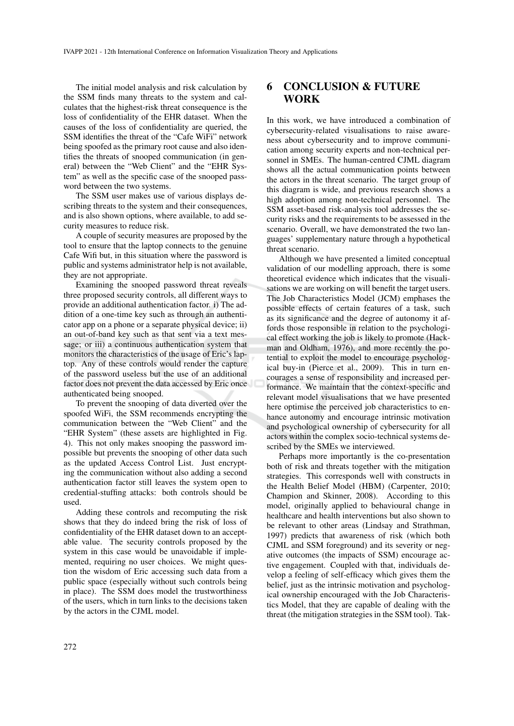The initial model analysis and risk calculation by the SSM finds many threats to the system and calculates that the highest-risk threat consequence is the loss of confidentiality of the EHR dataset. When the causes of the loss of confidentiality are queried, the SSM identifies the threat of the "Cafe WiFi" network being spoofed as the primary root cause and also identifies the threats of snooped communication (in general) between the "Web Client" and the "EHR System" as well as the specific case of the snooped password between the two systems.

The SSM user makes use of various displays describing threats to the system and their consequences, and is also shown options, where available, to add security measures to reduce risk.

A couple of security measures are proposed by the tool to ensure that the laptop connects to the genuine Cafe Wifi but, in this situation where the password is public and systems administrator help is not available, they are not appropriate.

Examining the snooped password threat reveals three proposed security controls, all different ways to provide an additional authentication factor. i) The addition of a one-time key such as through an authenticator app on a phone or a separate physical device; ii) an out-of-band key such as that sent via a text message; or iii) a continuous authentication system that monitors the characteristics of the usage of Eric's laptop. Any of these controls would render the capture of the password useless but the use of an additional factor does not prevent the data accessed by Eric once authenticated being snooped.

To prevent the snooping of data diverted over the spoofed WiFi, the SSM recommends encrypting the communication between the "Web Client" and the "EHR System" (these assets are highlighted in Fig. 4). This not only makes snooping the password impossible but prevents the snooping of other data such as the updated Access Control List. Just encrypting the communication without also adding a second authentication factor still leaves the system open to credential-stuffing attacks: both controls should be used.

Adding these controls and recomputing the risk shows that they do indeed bring the risk of loss of confidentiality of the EHR dataset down to an acceptable value. The security controls proposed by the system in this case would be unavoidable if implemented, requiring no user choices. We might question the wisdom of Eric accessing such data from a public space (especially without such controls being in place). The SSM does model the trustworthiness of the users, which in turn links to the decisions taken by the actors in the CJML model.

### 6 CONCLUSION & FUTURE WORK

In this work, we have introduced a combination of cybersecurity-related visualisations to raise awareness about cybersecurity and to improve communication among security experts and non-technical personnel in SMEs. The human-centred CJML diagram shows all the actual communication points between the actors in the threat scenario. The target group of this diagram is wide, and previous research shows a high adoption among non-technical personnel. The SSM asset-based risk-analysis tool addresses the security risks and the requirements to be assessed in the scenario. Overall, we have demonstrated the two languages' supplementary nature through a hypothetical threat scenario.

Although we have presented a limited conceptual validation of our modelling approach, there is some theoretical evidence which indicates that the visualisations we are working on will benefit the target users. The Job Characteristics Model (JCM) emphases the possible effects of certain features of a task, such as its significance and the degree of autonomy it affords those responsible in relation to the psychological effect working the job is likely to promote (Hackman and Oldham, 1976), and more recently the potential to exploit the model to encourage psychological buy-in (Pierce et al., 2009). This in turn encourages a sense of responsibility and increased performance. We maintain that the context-specific and relevant model visualisations that we have presented here optimise the perceived job characteristics to enhance autonomy and encourage intrinsic motivation and psychological ownership of cybersecurity for all actors within the complex socio-technical systems described by the SMEs we interviewed.

Perhaps more importantly is the co-presentation both of risk and threats together with the mitigation strategies. This corresponds well with constructs in the Health Belief Model (HBM) (Carpenter, 2010; Champion and Skinner, 2008). According to this model, originally applied to behavioural change in healthcare and health interventions but also shown to be relevant to other areas (Lindsay and Strathman, 1997) predicts that awareness of risk (which both CJML and SSM foreground) and its severity or negative outcomes (the impacts of SSM) encourage active engagement. Coupled with that, individuals develop a feeling of self-efficacy which gives them the belief, just as the intrinsic motivation and psychological ownership encouraged with the Job Characteristics Model, that they are capable of dealing with the threat (the mitigation strategies in the SSM tool). Tak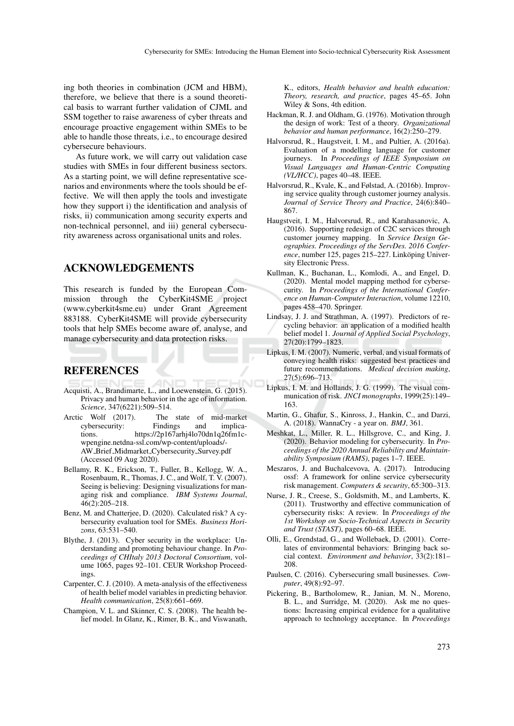ing both theories in combination (JCM and HBM), therefore, we believe that there is a sound theoretical basis to warrant further validation of CJML and SSM together to raise awareness of cyber threats and encourage proactive engagement within SMEs to be able to handle those threats, i.e., to encourage desired cybersecure behaviours.

As future work, we will carry out validation case studies with SMEs in four different business sectors. As a starting point, we will define representative scenarios and environments where the tools should be effective. We will then apply the tools and investigate how they support i) the identification and analysis of risks, ii) communication among security experts and non-technical personnel, and iii) general cybersecurity awareness across organisational units and roles.

### ACKNOWLEDGEMENTS

This research is funded by the European Commission through the CyberKit4SME project (www.cyberkit4sme.eu) under Grant Agreement 883188. CyberKit4SME will provide cybersecurity tools that help SMEs become aware of, analyse, and manage cybersecurity and data protection risks.

### **REFERENCES**

- Acquisti, A., Brandimarte, L., and Loewenstein, G. (2015). Privacy and human behavior in the age of information. *Science*, 347(6221):509–514.
- Arctic Wolf (2017). The state of mid-market cybersecurity: Findings and implications. https://2p167arhj4lo70dn1q26fm1cwpengine.netdna-ssl.com/wp-content/uploads/- AW Brief Midmarket Cybersecurity Survey.pdf (Accessed 09 Aug 2020).
- Bellamy, R. K., Erickson, T., Fuller, B., Kellogg, W. A., Rosenbaum, R., Thomas, J. C., and Wolf, T. V. (2007). Seeing is believing: Designing visualizations for managing risk and compliance. *IBM Systems Journal*, 46(2):205–218.
- Benz, M. and Chatterjee, D. (2020). Calculated risk? A cybersecurity evaluation tool for SMEs. *Business Horizons*, 63:531–540.
- Blythe, J. (2013). Cyber security in the workplace: Understanding and promoting behaviour change. In *Proceedings of CHItaly 2013 Doctoral Consortium*, volume 1065, pages 92–101. CEUR Workshop Proceedings.
- Carpenter, C. J. (2010). A meta-analysis of the effectiveness of health belief model variables in predicting behavior. *Health communication*, 25(8):661–669.
- Champion, V. L. and Skinner, C. S. (2008). The health belief model. In Glanz, K., Rimer, B. K., and Viswanath,

K., editors, *Health behavior and health education: Theory, research, and practice*, pages 45–65. John Wiley & Sons, 4th edition.

- Hackman, R. J. and Oldham, G. (1976). Motivation through the design of work: Test of a theory. *Organizational behavior and human performance*, 16(2):250–279.
- Halvorsrud, R., Haugstveit, I. M., and Pultier, A. (2016a). Evaluation of a modelling language for customer journeys. In *Proceedings of IEEE Symposium on Visual Languages and Human-Centric Computing (VL/HCC)*, pages 40–48. IEEE.
- Halvorsrud, R., Kvale, K., and Følstad, A. (2016b). Improving service quality through customer journey analysis. *Journal of Service Theory and Practice*, 24(6):840– 867.
- Haugstveit, I. M., Halvorsrud, R., and Karahasanovic, A. (2016). Supporting redesign of C2C services through customer journey mapping. In *Service Design Geographies. Proceedings of the ServDes. 2016 Conference*, number 125, pages 215–227. Linköping University Electronic Press.
- Kullman, K., Buchanan, L., Komlodi, A., and Engel, D. (2020). Mental model mapping method for cybersecurity. In *Proceedings of the International Conference on Human-Computer Interaction*, volume 12210, pages 458–470. Springer.
- Lindsay, J. J. and Strathman, A. (1997). Predictors of recycling behavior: an application of a modified health belief model 1. *Journal of Applied Social Psychology*, 27(20):1799–1823.
- Lipkus, I. M. (2007). Numeric, verbal, and visual formats of conveying health risks: suggested best practices and future recommendations. *Medical decision making*, 27(5):696–713.
- Lipkus, I. M. and Hollands, J. G. (1999). The visual communication of risk. *JNCI monographs*, 1999(25):149– 163.
- Martin, G., Ghafur, S., Kinross, J., Hankin, C., and Darzi, A. (2018). WannaCry - a year on. *BMJ*, 361.
- Meshkat, L., Miller, R. L., Hillsgrove, C., and King, J. (2020). Behavior modeling for cybersecurity. In *Proceedings of the 2020 Annual Reliability and Maintainability Symposium (RAMS)*, pages 1–7. IEEE.
- Meszaros, J. and Buchalcevova, A. (2017). Introducing ossf: A framework for online service cybersecurity risk management. *Computers & security*, 65:300–313.
- Nurse, J. R., Creese, S., Goldsmith, M., and Lamberts, K. (2011). Trustworthy and effective communication of cybersecurity risks: A review. In *Proceedings of the 1st Workshop on Socio-Technical Aspects in Security and Trust (STAST)*, pages 60–68. IEEE.
- Olli, E., Grendstad, G., and Wollebaek, D. (2001). Correlates of environmental behaviors: Bringing back social context. *Environment and behavior*, 33(2):181– 208.
- Paulsen, C. (2016). Cybersecuring small businesses. *Computer*, 49(8):92–97.
- Pickering, B., Bartholomew, R., Janian, M. N., Moreno, B. L., and Surridge, M. (2020). Ask me no questions: Increasing empirical evidence for a qualitative approach to technology acceptance. In *Proceedings*